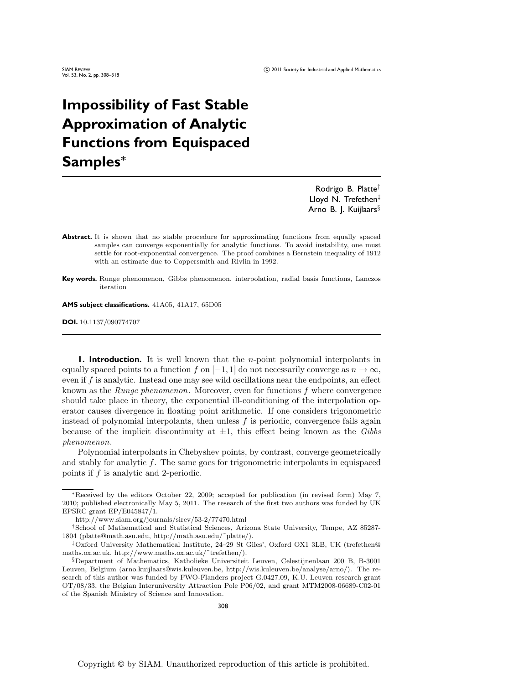# **Impossibility of Fast Stable Approximation of Analytic Functions from Equispaced Samples***<sup>∗</sup>*

Rodrigo B. Platte† Lloyd N. Trefethen<sup>‡</sup> Arno B. J. Kuijlaars§

- Abstract. It is shown that no stable procedure for approximating functions from equally spaced samples can converge exponentially for analytic functions. To avoid instability, one must settle for root-exponential convergence. The proof combines a Bernstein inequality of 1912 with an estimate due to Coppersmith and Rivlin in 1992.
- **Key words.** Runge phenomenon, Gibbs phenomenon, interpolation, radial basis functions, Lanczos iteration

**AMS subject classifications.** 41A05, 41A17, 65D05

**DOI.** 10.1137/090774707

**1. Introduction.** It is well known that the *n*-point polynomial interpolants in equally spaced points to a function f on  $[-1, 1]$  do not necessarily converge as  $n \to \infty$ , even if  $f$  is analytic. Instead one may see wild oscillations near the endpoints, an effect known as the *Runge phenomenon*. Moreover, even for functions f where convergence should take place in theory, the exponential ill-conditioning of the interpolation operator causes divergence in floating point arithmetic. If one considers trigonometric instead of polynomial interpolants, then unless  $f$  is periodic, convergence fails again because of the implicit discontinuity at ±1, this effect being known as the *Gibbs phenomenon*.

Polynomial interpolants in Chebyshev points, by contrast, converge geometrically and stably for analytic f. The same goes for trigonometric interpolants in equispaced points if f is analytic and 2-periodic.

<sup>∗</sup>Received by the editors October 22, 2009; accepted for publication (in revised form) May 7, 2010; published electronically May 5, 2011. The research of the first two authors was funded by UK EPSRC grant EP/E045847/1.

http://www.siam.org/journals/sirev/53-2/77470.html

<sup>†</sup>School of Mathematical and Statistical Sciences, Arizona State University, Tempe, AZ 85287- 1804 (platte@math.asu.edu, [http://math.asu.edu/˜platte/\).](http://math.asu.edu/~platte/)

<sup>‡</sup>Oxford University Mathematical Institute, 24–29 St Giles', Oxford OX1 3LB, UK (trefethen@ maths.ox.ac.uk, [http://www.maths.ox.ac.uk/˜trefethen/](http://www.maths.ox.ac.uk/~trefethen/)).

<sup>§</sup>Department of Mathematics, Katholieke Universiteit Leuven, Celestijnenlaan 200 B, B-3001 Leuven, Belgium (arno.kuijlaars@wis.kuleuven.be, http://wis.kuleuven.be/analyse/arno/). The research of this author was funded by FWO-Flanders project G.0427.09, K.U. Leuven research grant OT/08/33, the Belgian Interuniversity Attraction Pole P06/02, and grant MTM2008-06689-C02-01 of the Spanish Ministry of Science and Innovation.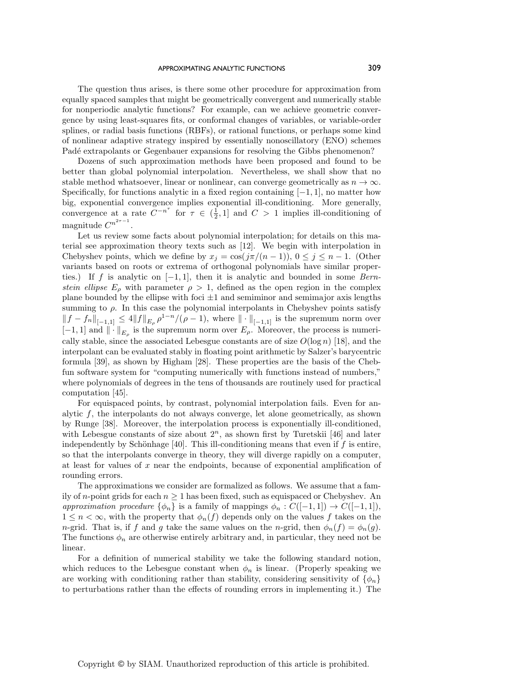#### APPROXIMATING ANALYTIC FUNCTIONS 309

The question thus arises, is there some other procedure for approximation from equally spaced samples that might be geometrically convergent and numerically stable for nonperiodic analytic functions? For example, can we achieve geometric convergence by using least-squares fits, or conformal changes of variables, or variable-order splines, or radial basis functions (RBFs), or rational functions, or perhaps some kind of nonlinear adaptive strategy inspired by essentially nonoscillatory (ENO) schemes Padé extrapolants or Gegenbauer expansions for resolving the Gibbs phenomenon?

Dozens of such approximation methods have been proposed and found to be better than global polynomial interpolation. Nevertheless, we shall show that no stable method whatsoever, linear or nonlinear, can converge geometrically as  $n \to \infty$ . Specifically, for functions analytic in a fixed region containing  $[-1, 1]$ , no matter how big, exponential convergence implies exponential ill-conditioning. More generally, convergence at a rate  $C^{-n^{\tau}}$  for  $\tau \in (\frac{1}{2}, 1]$  and  $C > 1$  implies ill-conditioning of magnitude  $C^{n^{2\tau-1}}$ .

Let us review some facts about polynomial interpolation; for details on this material see approximation theory texts such as [12]. We begin with interpolation in Chebyshev points, which we define by  $x_j = \cos(j\pi/(n-1))$ ,  $0 \le j \le n-1$ . (Other variants based on roots or extrema of orthogonal polynomials have similar properties.) If f is analytic on [−1, 1], then it is analytic and bounded in some *Bernstein ellipse*  $E_{\rho}$  with parameter  $\rho > 1$ , defined as the open region in the complex plane bounded by the ellipse with foci  $\pm 1$  and semiminor and semimajor axis lengths summing to  $\rho$ . In this case the polynomial interpolants in Chebyshev points satisfy  $|| f - f_n ||_{[-1,1]} \leq 4 || f ||_{E_{\rho}} \rho^{1-n} / (\rho - 1)$ , where  $|| \cdot ||_{[-1,1]}$  is the supremum norm over  $[-1, 1]$  and  $\|\cdot\|_{E_{\rho}}$  is the supremum norm over  $E_{\rho}$ . Moreover, the process is numerically stable, since the associated Lebesgue constants are of size  $O(\log n)$  [18], and the interpolant can be evaluated stably in floating point arithmetic by Salzer's barycentric formula [39], as shown by Higham [28]. These properties are the basis of the Chebfun software system for "computing numerically with functions instead of numbers," where polynomials of degrees in the tens of thousands are routinely used for practical computation [45].

For equispaced points, by contrast, polynomial interpolation fails. Even for analytic  $f$ , the interpolants do not always converge, let alone geometrically, as shown by Runge [38]. Moreover, the interpolation process is exponentially ill-conditioned, with Lebesgue constants of size about  $2<sup>n</sup>$ , as shown first by Turetskii [46] and later independently by Schönhage [40]. This ill-conditioning means that even if  $f$  is entire, so that the interpolants converge in theory, they will diverge rapidly on a computer, at least for values of  $x$  near the endpoints, because of exponential amplification of rounding errors.

The approximations we consider are formalized as follows. We assume that a family of *n*-point grids for each  $n \geq 1$  has been fixed, such as equispaced or Chebyshev. An *approximation procedure*  $\{\phi_n\}$  is a family of mappings  $\phi_n : C([-1,1]) \to C([-1,1]),$  $1 \leq n < \infty$ , with the property that  $\phi_n(f)$  depends only on the values f takes on the *n*-grid. That is, if f and g take the same values on the n-grid, then  $\phi_n(f) = \phi_n(g)$ . The functions  $\phi_n$  are otherwise entirely arbitrary and, in particular, they need not be linear.

For a definition of numerical stability we take the following standard notion, which reduces to the Lebesgue constant when  $\phi_n$  is linear. (Properly speaking we are working with conditioning rather than stability, considering sensitivity of  $\{\phi_n\}$ to perturbations rather than the effects of rounding errors in implementing it.) The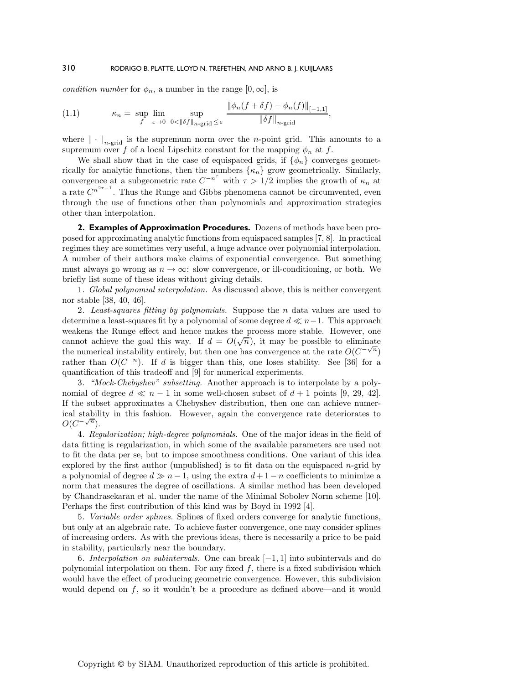*condition number* for  $\phi_n$ , a number in the range  $[0, \infty]$ , is

$$
(1.1) \qquad \kappa_n = \sup_{f} \lim_{\varepsilon \to 0} \sup_{0 < \|\delta f\|_{n\text{-grid}} \le \varepsilon} \frac{\|\phi_n(f + \delta f) - \phi_n(f)\|_{[-1,1]}}{\|\delta f\|_{n\text{-grid}}},
$$

where  $\|\cdot\|_{n\text{-grid}}$  is the supremum norm over the *n*-point grid. This amounts to a supremum over f of a local Lipschitz constant for the mapping  $\phi_n$  at f.

We shall show that in the case of equispaced grids, if  $\{\phi_n\}$  converges geometrically for analytic functions, then the numbers  $\{\kappa_n\}$  grow geometrically. Similarly, convergence at a subgeometric rate  $C^{-n^{\tau}}$  with  $\tau > 1/2$  implies the growth of  $\kappa_n$  at a rate  $C^{n^{2\tau-1}}$ . Thus the Runge and Gibbs phenomena cannot be circumvented, even through the use of functions other than polynomials and approximation strategies other than interpolation.

**2. Examples of Approximation Procedures.** Dozens of methods have been proposed for approximating analytic functions from equispaced samples [7, 8]. In practical regimes they are sometimes very useful, a huge advance over polynomial interpolation. A number of their authors make claims of exponential convergence. But something must always go wrong as  $n \to \infty$ : slow convergence, or ill-conditioning, or both. We briefly list some of these ideas without giving details.

1*. Global polynomial interpolation.* As discussed above, this is neither convergent nor stable [38, 40, 46].

2*. Least-squares fitting by polynomials.* Suppose the n data values are used to determine a least-squares fit by a polynomial of some degree  $d \ll n-1$ . This approach weakens the Runge effect and hence makes the process more stable. However, one weakens the runge enect and hence makes the process more stable. However, one cannot achieve the goal this way. If  $d = O(\sqrt{n})$ , it may be possible to eliminate the numerical instability entirely, but then one has convergence at the rate  $O(C^{-\sqrt{n}})$ rather than  $O(C^{-n})$ . If d is bigger than this, one loses stability. See [36] for a quantification of this tradeoff and [9] for numerical experiments.

3*. "Mock-Chebyshev" subsetting.* Another approach is to interpolate by a polynomial of degree  $d \ll n - 1$  in some well-chosen subset of  $d + 1$  points [9, 29, 42]. If the subset approximates a Chebyshev distribution, then one can achieve numerical stability in this fashion. However, again the convergence rate deteriorates to  $O(C^{-\sqrt{n}})$ .

4*. Regularization; high-degree polynomials.* One of the major ideas in the field of data fitting is regularization, in which some of the available parameters are used not to fit the data per se, but to impose smoothness conditions. One variant of this idea explored by the first author (unpublished) is to fit data on the equispaced  $n$ -grid by a polynomial of degree  $d \gg n - 1$ , using the extra  $d + 1 - n$  coefficients to minimize a norm that measures the degree of oscillations. A similar method has been developed by Chandrasekaran et al. under the name of the Minimal Sobolev Norm scheme [10]. Perhaps the first contribution of this kind was by Boyd in 1992 [4].

5*. Variable order splines.* Splines of fixed orders converge for analytic functions, but only at an algebraic rate. To achieve faster convergence, one may consider splines of increasing orders. As with the previous ideas, there is necessarily a price to be paid in stability, particularly near the boundary.

6*. Interpolation on subintervals.* One can break [−1, 1] into subintervals and do polynomial interpolation on them. For any fixed  $f$ , there is a fixed subdivision which would have the effect of producing geometric convergence. However, this subdivision would depend on  $f$ , so it wouldn't be a procedure as defined above—and it would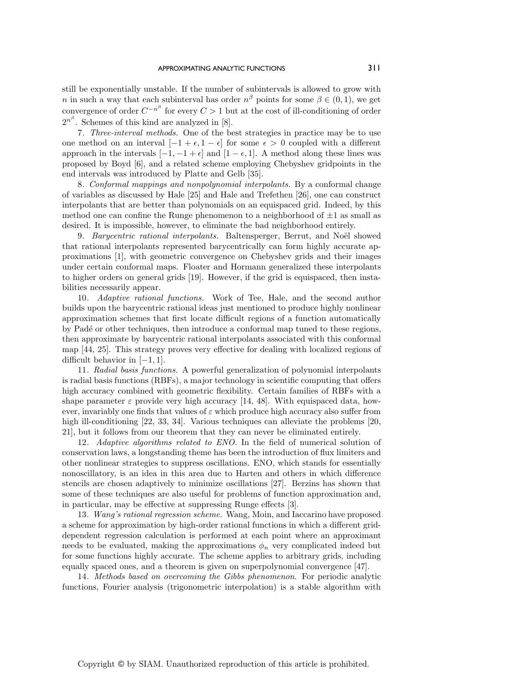still be exponentially unstable. If the number of subintervals is allowed to grow with n in such a way that each subinterval has order  $n^{\beta}$  points for some  $\beta \in (0,1)$ , we get convergence of order  $C^{-n^{\beta}}$  for every  $C > 1$  but at the cost of ill-conditioning of order  $2^{n^{\beta}}$ . Schemes of this kind are analyzed in [8].

7*. Three-interval methods.* One of the best strategies in practice may be to use one method on an interval  $[-1 + \epsilon, 1 - \epsilon]$  for some  $\epsilon > 0$  coupled with a different approach in the intervals  $[-1, -1 + \epsilon]$  and  $[1 - \epsilon, 1]$ . A method along these lines was proposed by Boyd [6], and a related scheme employing Chebyshev gridpoints in the end intervals was introduced by Platte and Gelb [35].

8*. Conformal mappings and nonpolynomial interpolants.* By a conformal change of variables as discussed by Hale [25] and Hale and Trefethen [26], one can construct interpolants that are better than polynomials on an equispaced grid. Indeed, by this method one can confine the Runge phenomenon to a neighborhood of  $\pm 1$  as small as desired. It is impossible, however, to eliminate the bad neighborhood entirely.

9. Barycentric rational interpolants. Baltensperger, Berrut, and Noël showed that rational interpolants represented barycentrically can form highly accurate approximations [1], with geometric convergence on Chebyshev grids and their images under certain conformal maps. Floater and Hormann generalized these interpolants to higher orders on general grids [19]. However, if the grid is equispaced, then instabilities necessarily appear.

10*. Adaptive rational functions.* Work of Tee, Hale, and the second author builds upon the barycentric rational ideas just mentioned to produce highly nonlinear approximation schemes that first locate difficult regions of a function automatically by Pad´e or other techniques, then introduce a conformal map tuned to these regions, then approximate by barycentric rational interpolants associated with this conformal map [44, 25]. This strategy proves very effective for dealing with localized regions of difficult behavior in  $[-1, 1]$ .

11*. Radial basis functions.* A powerful generalization of polynomial interpolants is radial basis functions (RBFs), a major technology in scientific computing that offers high accuracy combined with geometric flexibility. Certain families of RBFs with a shape parameter  $\varepsilon$  provide very high accuracy [14, 48]. With equispaced data, however, invariably one finds that values of  $\varepsilon$  which produce high accuracy also suffer from high ill-conditioning [22, 33, 34]. Various techniques can alleviate the problems [20, 21], but it follows from our theorem that they can never be eliminated entirely.

12*. Adaptive algorithms related to ENO.* In the field of numerical solution of conservation laws, a longstanding theme has been the introduction of fluxlimiters and other nonlinear strategies to suppress oscillations. ENO, which stands for essentially nonoscillatory, is an idea in this area due to Harten and others in which difference stencils are chosen adaptively to minimize oscillations [27]. Berzins has shown that some of these techniques are also useful for problems of function approximation and, in particular, may be effective at suppressing Runge effects [3].

13*. Wang's rational regression scheme.* Wang, Moin, and Iaccarino have proposed a scheme for approximation by high-order rational functions in which a different griddependent regression calculation is performed at each point where an approximant needs to be evaluated, making the approximations  $\phi_n$  very complicated indeed but for some functions highly accurate. The scheme applies to arbitrary grids, including equally spaced ones, and a theorem is given on superpolynomial convergence [47].

14*. Methods based on overcoming the Gibbs phenomenon*. For periodic analytic functions, Fourier analysis (trigonometric interpolation) is a stable algorithm with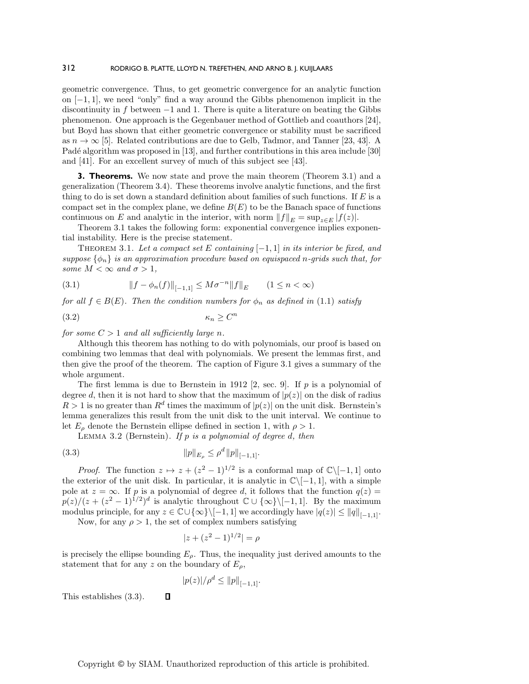geometric convergence. Thus, to get geometric convergence for an analytic function on [−1, 1], we need "only" find a way around the Gibbs phenomenon implicit in the discontinuity in f between  $-1$  and 1. There is quite a literature on beating the Gibbs phenomenon. One approach is the Gegenbauer method of Gottlieb and coauthors [24], but Boyd has shown that either geometric convergence or stability must be sacrificed as  $n \to \infty$  [5]. Related contributions are due to Gelb, Tadmor, and Tanner [23, 43]. A Padé algorithm was proposed in [13], and further contributions in this area include [30] and [41]. For an excellent survey of much of this subject see [43].

**3. Theorems.** We now state and prove the main theorem (Theorem 3.1) and a generalization (Theorem 3.4). These theorems involve analytic functions, and the first thing to do is set down a standard definition about families of such functions. If  $E$  is a compact set in the complex plane, we define  $B(E)$  to be the Banach space of functions continuous on E and analytic in the interior, with norm  $||f||_E = \sup_{z \in E} |f(z)|$ .

Theorem 3.1 takes the following form: exponential convergence implies exponential instability. Here is the precise statement.

THEOREM 3.1. Let a compact set E containing  $[-1, 1]$  in its interior be fixed, and *suppose* {φn} *is an approximation procedure based on equispaced* n*-grids such that, for some*  $M < \infty$  *and*  $\sigma > 1$ *,* 

(3.1) 
$$
||f - \phi_n(f)||_{[-1,1]} \leq M\sigma^{-n}||f||_E \qquad (1 \leq n < \infty)
$$

*for all*  $f \in B(E)$ *. Then the condition numbers for*  $\phi_n$  *as defined in* (1.1) *satisfy* 

$$
(3.2) \t\t\t \kappa_n \ge C^n
$$

*for some*  $C > 1$  *and all sufficiently large n.* 

Although this theorem has nothing to do with polynomials, our proof is based on combining two lemmas that deal with polynomials. We present the lemmas first, and then give the proof of the theorem. The caption of Figure 3.1 gives a summary of the whole argument.

The first lemma is due to Bernstein in 1912 [2, sec. 9]. If  $p$  is a polynomial of degree d, then it is not hard to show that the maximum of  $|p(z)|$  on the disk of radius  $R > 1$  is no greater than  $R^d$  times the maximum of  $|p(z)|$  on the unit disk. Bernstein's lemma generalizes this result from the unit disk to the unit interval. We continue to let  $E_{\rho}$  denote the Bernstein ellipse defined in section 1, with  $\rho > 1$ .

Lemma 3.2 (Bernstein). *If* p *is a polynomial of degree* d*, then*

(3.3) 
$$
||p||_{E_{\rho}} \leq \rho^d ||p||_{[-1,1]}.
$$

 $\Box$ 

*Proof.* The function  $z \mapsto z + (z^2 - 1)^{1/2}$  is a conformal map of  $\mathbb{C}\setminus[-1, 1]$  onto the exterior of the unit disk. In particular, it is analytic in  $\mathbb{C}\setminus[-1,1]$ , with a simple pole at  $z = \infty$ . If p is a polynomial of degree d, it follows that the function  $q(z) =$  $p(z)/(z + (z^2 - 1)^{1/2})^d$  is analytic throughout  $\mathbb{C} \cup {\infty} \setminus [-1, 1]$ . By the maximum modulus principle, for any  $z \in \mathbb{C} \cup \{\infty\} \setminus [-1, 1]$  we accordingly have  $|q(z)| \leq ||q||_{[-1,1]}$ .

Now, for any  $\rho > 1$ , the set of complex numbers satisfying

$$
|z + (z^2 - 1)^{1/2}| = \rho
$$

is precisely the ellipse bounding  $E_{\rho}$ . Thus, the inequality just derived amounts to the statement that for any z on the boundary of  $E_{\rho}$ ,

$$
|p(z)|/\rho^d \leq ||p||_{[-1,1]}.
$$

This establishes (3.3).

Copyright © by SIAM. Unauthorized reproduction of this article is prohibited.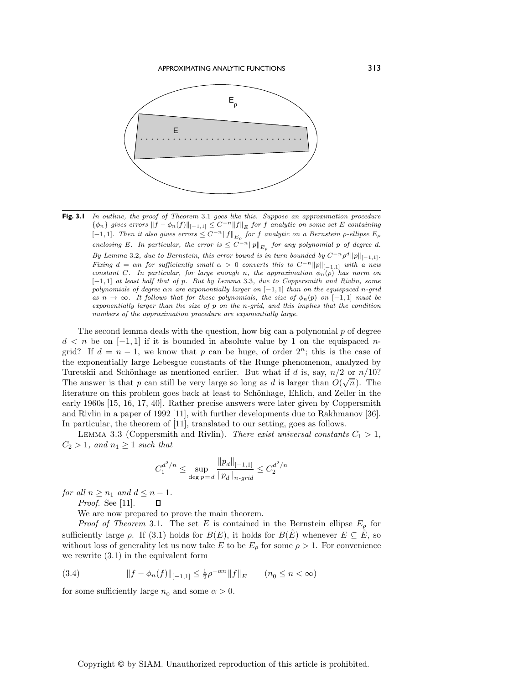

Fig. 3.1 In outline, the proof of Theorem 3.1 goes like this. Suppose an approximation procedure  $\{\phi_n\}$  gives errors  $||f - \phi_n(f)||_{[-1,1]} \leq C^{-n} ||f||_E$  for f analytic on some set E containing [−1,1]. Then it also gives errors  $\leq C^{-n}||f||_{E_{\rho}}$  for f analytic on a Bernstein  $\rho$ -ellipse  $E_{\rho}$ enclosing E. In particular, the error is  $\leq C^{-n}||p||_{E_{\rho}}$  for any polynomial p of degree d. By Lemma 3.2, due to Bernstein, this error bound is in turn bounded by  $C^{-n}\rho^d||p||_{[-1,1]}$ . Fixing  $d = \alpha n$  for sufficiently small  $\alpha > 0$  converts this to  $C^{-n}||p||_{[-1,1]}$  with a new constant C. In particular, for large enough n, the approximation  $\phi_n(p)$  has norm on [−1, 1] at least half that of p. But by Lemma 3.3, due to Coppersmith and Rivlin, some polynomials of degree  $\alpha n$  are exponentially larger on  $[-1, 1]$  than on the equispaced n-grid as  $n \to \infty$ . It follows that for these polynomials, the size of  $\phi_n(p)$  on [−1, 1] must be exponentially larger than the size of  $p$  on the n-grid, and this implies that the condition numbers of the approximation procedure are exponentially large.

The second lemma deals with the question, how big can a polynomial  $p$  of degree  $d < n$  be on  $[-1, 1]$  if it is bounded in absolute value by 1 on the equispaced ngrid? If  $d = n - 1$ , we know that p can be huge, of order  $2^n$ ; this is the case of the exponentially large Lebesgue constants of the Runge phenomenon, analyzed by Turetskii and Schönhage as mentioned earlier. But what if d is, say,  $n/2$  or  $n/10$ ? The answer is that p can still be very large so long as d is larger than  $O(\sqrt{n})$ . The literature on this problem goes back at least to Schönhage, Ehlich, and Zeller in the early 1960s [15, 16, 17, 40]. Rather precise answers were later given by Coppersmith and Rivlin in a paper of 1992 [11], with further developments due to Rakhmanov [36]. In particular, the theorem of [11], translated to our setting, goes as follows.

LEMMA 3.3 (Coppersmith and Rivlin). *There exist universal constants*  $C_1 > 1$ ,  $C_2 > 1$ *, and*  $n_1 \geq 1$  *such that* 

$$
C_1^{d^2/n} \le \sup_{\deg p=d} \frac{\|p_d\|_{[-1,1]}}{\|p_d\|_{n\text{-}grid}} \le C_2^{d^2/n}
$$

*for all*  $n \geq n_1$  *and*  $d \leq n - 1$ *.* 

*Proof.* See [11].

We are now prepared to prove the main theorem.

*Proof of Theorem* 3.1. The set E is contained in the Bernstein ellipse  $E_{\rho}$  for sufficiently large  $\rho$ . If (3.1) holds for  $B(E)$ , it holds for  $B(E)$  whenever  $E \subseteq E$ , so without loss of generality let us now take E to be  $E_{\rho}$  for some  $\rho > 1$ . For convenience we rewrite (3.1) in the equivalent form

(3.4) 
$$
||f - \phi_n(f)||_{[-1,1]} \le \frac{1}{2}\rho^{-\alpha n} ||f||_E \qquad (n_0 \le n < \infty)
$$

for some sufficiently large  $n_0$  and some  $\alpha > 0$ .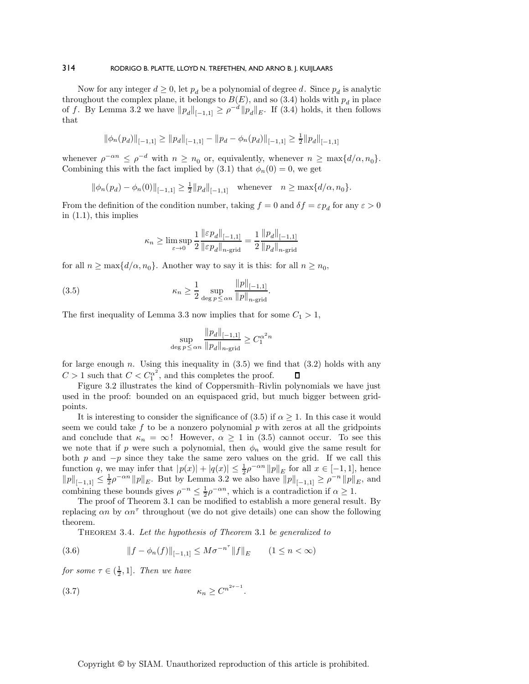Now for any integer  $d \geq 0$ , let  $p_d$  be a polynomial of degree d. Since  $p_d$  is analytic throughout the complex plane, it belongs to  $B(E)$ , and so (3.4) holds with  $p_d$  in place of f. By Lemma 3.2 we have  $||p_d||_{[-1,1]} \geq \rho^{-d} ||p_d||_E$ . If (3.4) holds, it then follows that

$$
\|\phi_n(p_d)\|_{[-1,1]} \ge \|p_d\|_{[-1,1]} - \|p_d - \phi_n(p_d)\|_{[-1,1]} \ge \frac{1}{2} \|p_d\|_{[-1,1]}
$$

whenever  $\rho^{-\alpha n} \leq \rho^{-d}$  with  $n \geq n_0$  or, equivalently, whenever  $n \geq \max\{d/\alpha, n_0\}$ . Combining this with the fact implied by (3.1) that  $\phi_n(0) = 0$ , we get

$$
\|\phi_n(p_d) - \phi_n(0)\|_{[-1,1]} \ge \frac{1}{2} \|p_d\|_{[-1,1]} \quad \text{whenever} \quad n \ge \max\{d/\alpha, n_0\}.
$$

From the definition of the condition number, taking  $f = 0$  and  $\delta f = \varepsilon p_d$  for any  $\varepsilon > 0$ in  $(1.1)$ , this implies

$$
\kappa_n \ge \limsup_{\varepsilon \to 0} \frac{1}{2} \frac{\|\varepsilon p_d\|_{[-1,1]}}{\|\varepsilon p_d\|_{n-\text{grid}}} = \frac{1}{2} \frac{\|p_d\|_{[-1,1]}}{\|p_d\|_{n-\text{grid}}}
$$

for all  $n \ge \max\{d/\alpha, n_0\}$ . Another way to say it is this: for all  $n \ge n_0$ ,

(3.5) 
$$
\kappa_n \ge \frac{1}{2} \sup_{\deg p \le \alpha n} \frac{\|p\|_{[-1,1]}}{\|p\|_{n\text{-grid}}}.
$$

The first inequality of Lemma 3.3 now implies that for some  $C_1 > 1$ ,

$$
\sup_{\deg p \le \alpha n} \frac{\|p_d\|_{[-1,1]}}{\|p_d\|_{n\text{-grid}}} \ge C_1^{\alpha^2 n}
$$

for large enough  $n$ . Using this inequality in  $(3.5)$  we find that  $(3.2)$  holds with any  $C > 1$  such that  $C < C_1^{\alpha^2}$ , and this completes the proof.  $\Box$ 

Figure 3.2 illustrates the kind of Coppersmith–Rivlin polynomials we have just used in the proof: bounded on an equispaced grid, but much bigger between gridpoints.

It is interesting to consider the significance of (3.5) if  $\alpha \geq 1$ . In this case it would seem we could take  $f$  to be a nonzero polynomial  $p$  with zeros at all the gridpoints and conclude that  $\kappa_n = \infty$ ! However,  $\alpha \geq 1$  in (3.5) cannot occur. To see this we note that if p were such a polynomial, then  $\phi_n$  would give the same result for both p and  $-p$  since they take the same zero values on the grid. If we call this function q, we may infer that  $|p(x)| + |q(x)| \leq \frac{1}{2}\rho^{-\alpha n} ||p||_E$  for all  $x \in [-1,1]$ , hence  $||p||_{[-1,1]} \leq \frac{1}{2}\rho^{-\alpha n}||p||_{E}$ . But by Lemma 3.2 we also have  $||p||_{[-1,1]} \geq \rho^{-n}||p||_{E}$ , and combining these bounds gives  $\rho^{-n} \leq \frac{1}{2} \rho^{-\alpha n}$ , which is a contradiction if  $\alpha \geq 1$ .

The proof of Theorem 3.1 can be modified to establish a more general result. By replacing  $\alpha n$  by  $\alpha n^{\tau}$  throughout (we do not give details) one can show the following theorem.

Theorem 3.4. *Let the hypothesis of Theorem* 3.1 *be generalized to*

(3.6) 
$$
||f - \phi_n(f)||_{[-1,1]} \leq M\sigma^{-n^{\tau}}||f||_E \qquad (1 \leq n < \infty)
$$

*for some*  $\tau \in (\frac{1}{2}, 1]$ *. Then we have* 

$$
\kappa_n \ge C^{n^{2\tau - 1}}.
$$

Copyright © by SIAM. Unauthorized reproduction of this article is prohibited.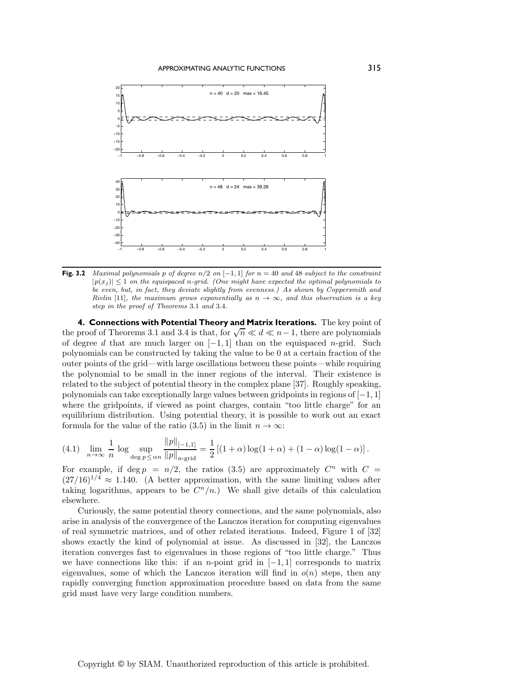

**Fig. 3.2** Maximal polynomials p of degree  $n/2$  on  $[-1, 1]$  for  $n = 40$  and 48 subject to the constraint  $|p(x_i)| \leq 1$  on the equispaced n-grid. (One might have expected the optimal polynomials to be even, but, in fact, they deviate slightly from evenness.) As shown by Coppersmith and Rivlin [11], the maximum grows exponentially as  $n \to \infty$ , and this observation is a key step in the proof of Theorems 3.1 and 3.4.

**4. Connections with Potential Theory and Matrix Iterations.** The key point of the proof of Theorems 3.1 and 3.4 is that, for  $\sqrt{n} \ll d \ll n-1$ , there are polynomials of degree d that are much larger on  $[-1, 1]$  than on the equispaced n-grid. Such polynomials can be constructed by taking the value to be 0 at a certain fraction of the outer points of the grid—with large oscillations between these points—while requiring the polynomial to be small in the inner regions of the interval. Their existence is related to the subject of potential theory in the complexplane [37]. Roughly speaking, polynomials can take exceptionally large values between gridpoints in regions of  $[-1, 1]$ where the gridpoints, if viewed as point charges, contain "too little charge" for an equilibrium distribution. Using potential theory, it is possible to work out an exact formula for the value of the ratio (3.5) in the limit  $n \to \infty$ :

(4.1) 
$$
\lim_{n \to \infty} \frac{1}{n} \log \sup_{\deg p \le \alpha n} \frac{\|p\|_{[-1,1]}}{\|p\|_{n\text{-grid}}} = \frac{1}{2} \left[ (1+\alpha) \log(1+\alpha) + (1-\alpha) \log(1-\alpha) \right].
$$

For example, if deg  $p = n/2$ , the ratios (3.5) are approximately  $C^n$  with  $C =$  $(27/16)^{1/4} \approx 1.140$ . (A better approximation, with the same limiting values after taking logarithms, appears to be  $C<sup>n</sup>/n$ .) We shall give details of this calculation elsewhere.

Curiously, the same potential theory connections, and the same polynomials, also arise in analysis of the convergence of the Lanczos iteration for computing eigenvalues of real symmetric matrices, and of other related iterations. Indeed, Figure 1 of [32] shows exactly the kind of polynomial at issue. As discussed in [32], the Lanczos iteration converges fast to eigenvalues in those regions of "too little charge." Thus we have connections like this: if an *n*-point grid in  $[-1, 1]$  corresponds to matrix eigenvalues, some of which the Lanczos iteration will find in  $o(n)$  steps, then any rapidly converging function approximation procedure based on data from the same grid must have very large condition numbers.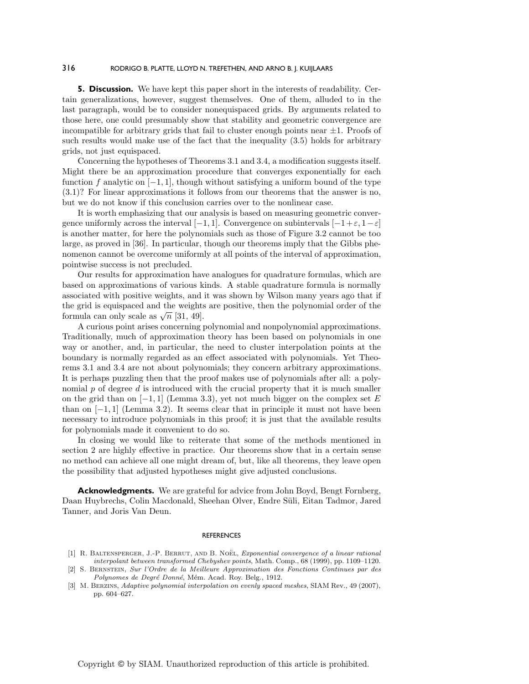**5. Discussion.** We have kept this paper short in the interests of readability. Certain generalizations, however, suggest themselves. One of them, alluded to in the last paragraph, would be to consider nonequispaced grids. By arguments related to those here, one could presumably show that stability and geometric convergence are incompatible for arbitrary grids that fail to cluster enough points near  $\pm 1$ . Proofs of such results would make use of the fact that the inequality (3.5) holds for arbitrary grids, not just equispaced.

Concerning the hypotheses of Theorems 3.1 and 3.4, a modification suggests itself. Might there be an approximation procedure that converges exponentially for each function f analytic on  $[-1, 1]$ , though without satisfying a uniform bound of the type (3.1)? For linear approximations it follows from our theorems that the answer is no, but we do not know if this conclusion carries over to the nonlinear case.

It is worth emphasizing that our analysis is based on measuring geometric convergence uniformly across the interval  $[-1, 1]$ . Convergence on subintervals  $[-1+\varepsilon, 1-\varepsilon]$ is another matter, for here the polynomials such as those of Figure 3.2 cannot be too large, as proved in [36]. In particular, though our theorems imply that the Gibbs phenomenon cannot be overcome uniformly at all points of the interval of approximation, pointwise success is not precluded.

Our results for approximation have analogues for quadrature formulas, which are based on approximations of various kinds. A stable quadrature formula is normally associated with positive weights, and it was shown by Wilson many years ago that if the grid is equispaced and the weights are positive, then the polynomial order of the formula can only scale as  $\sqrt{n}$  [31, 49].

A curious point arises concerning polynomial and nonpolynomial approximations. Traditionally, much of approximation theory has been based on polynomials in one way or another, and, in particular, the need to cluster interpolation points at the boundary is normally regarded as an effect associated with polynomials. Yet Theorems 3.1 and 3.4 are not about polynomials; they concern arbitrary approximations. It is perhaps puzzling then that the proof makes use of polynomials after all: a polynomial  $p$  of degree  $d$  is introduced with the crucial property that it is much smaller on the grid than on  $[-1, 1]$  (Lemma 3.3), yet not much bigger on the complex set E than on  $[-1, 1]$  (Lemma 3.2). It seems clear that in principle it must not have been necessary to introduce polynomials in this proof; it is just that the available results for polynomials made it convenient to do so.

In closing we would like to reiterate that some of the methods mentioned in section 2 are highly effective in practice. Our theorems show that in a certain sense no method can achieve all one might dream of, but, like all theorems, they leave open the possibility that adjusted hypotheses might give adjusted conclusions.

**Acknowledgments.** We are grateful for advice from John Boyd, Bengt Fornberg, Daan Huybrechs, Colin Macdonald, Sheehan Olver, Endre Süli, Eitan Tadmor, Jared Tanner, and Joris Van Deun.

#### **REFERENCES**

<sup>[1]</sup> R. BALTENSPERGER, J.-P. BERRUT, AND B. NOËL, Exponential convergence of a linear rational interpolant between transformed Chebyshev points, Math. Comp., 68 (1999), pp. 1109–1120.

<sup>[2]</sup> S. Bernstein, Sur l'Ordre de la Meilleure Approximation des Fonctions Continues par des Polynomes de Degré Donné, Mém. Acad. Roy. Belg., 1912.

<sup>[3]</sup> M. Berzins, Adaptive polynomial interpolation on evenly spaced meshes, SIAM Rev., 49 (2007), pp. 604–627.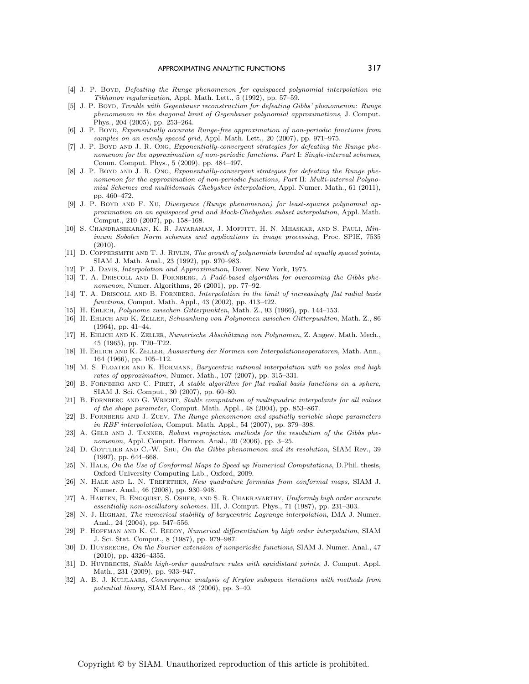- [4] J. P. Boyd, Defeating the Runge phenomenon for equispaced polynomial interpolation via Tikhonov regularization, Appl. Math. Lett., 5 (1992), pp. 57–59.
- [5] J. P. Boyd, Trouble with Gegenbauer reconstruction for defeating Gibbs' phenomenon: Runge phenomenon in the diagonal limit of Gegenbauer polynomial approximations, J. Comput. Phys., 204 (2005), pp. 253–264.
- [6] J. P. Boyd, Exponentially accurate Runge-free approximation of non-periodic functions from samples on an evenly spaced grid, Appl. Math. Lett., 20 (2007), pp. 971–975.
- [7] J. P. Boyd and J. R. Ong, Exponentially-convergent strategies for defeating the Runge phenomenon for the approximation of non-periodic functions. Part I: Single-interval schemes, Comm. Comput. Phys., 5 (2009), pp. 484–497.
- [8] J. P. BOYD AND J. R. ONG, Exponentially-convergent strategies for defeating the Runge phenomenon for the approximation of non-periodic functions, Part II: Multi-interval Polynomial Schemes and multidomain Chebyshev interpolation, Appl. Numer. Math., 61 (2011), pp. 460–472.
- [9] J. P. Boyd and F. Xu, Divergence (Runge phenomenon) for least-squares polynomial approximation on an equispaced grid and Mock-Chebyshev subset interpolation, Appl. Math. Comput., 210 (2007), pp. 158–168.
- [10] S. Chandrasekaran, K. R. Jayaraman, J. Moffitt, H. N. Mhaskar, and S. Pauli, Minimum Sobolev Norm schemes and applications in image processing, Proc. SPIE, 7535 (2010).
- [11] D. COPPERSMITH AND T. J. RIVLIN, The growth of polynomials bounded at equally spaced points, SIAM J. Math. Anal., 23 (1992), pp. 970–983.
- [12] P. J. Davis, Interpolation and Approximation, Dover, New York, 1975.
- [13] T. A. DRISCOLL AND B. FORNBERG, A Padé-based algorithm for overcoming the Gibbs phenomenon, Numer. Algorithms, 26 (2001), pp. 77–92.
- [14] T. A. DRISCOLL AND B. FORNBERG, Interpolation in the limit of increasingly flat radial basis functions, Comput. Math. Appl., 43 (2002), pp. 413–422.
- [15] H. EHLICH, Polynome zwischen Gitterpunkten, Math. Z., 93 (1966), pp. 144-153.
- [16] H. Ehlich and K. Zeller, Schwankung von Polynomen zwischen Gitterpunkten, Math. Z., 86 (1964), pp. 41–44.
- [17] H. EHLICH AND K. ZELLER, Numerische Abschätzung von Polynomen, Z. Angew. Math. Mech., 45 (1965), pp. T20–T22.
- [18] H. Ehlich and K. Zeller, Auswertung der Normen von Interpolationsoperatoren, Math. Ann., 164 (1966), pp. 105–112.
- [19] M. S. FLOATER AND K. HORMANN, *Barycentric rational interpolation with no poles and high* rates of approximation, Numer. Math., 107 (2007), pp. 315–331.
- [20] B. FORNBERG AND C. PIRET, A stable algorithm for flat radial basis functions on a sphere, SIAM J. Sci. Comput., 30 (2007), pp. 60–80.
- [21] B. FORNBERG AND G. WRIGHT, Stable computation of multiquadric interpolants for all values of the shape parameter, Comput. Math. Appl., 48 (2004), pp. 853–867.
- [22] B. FORNBERG AND J. ZUEV, The Runge phenomenon and spatially variable shape parameters in RBF interpolation, Comput. Math. Appl., 54 (2007), pp. 379–398.
- [23] A. GELB AND J. TANNER, Robust reprojection methods for the resolution of the Gibbs phenomenon, Appl. Comput. Harmon. Anal., 20 (2006), pp. 3–25.
- [24] D. GOTTLIEB AND C.-W. SHU, On the Gibbs phenomenon and its resolution, SIAM Rev., 39 (1997), pp. 644–668.
- [25] N. HALE, On the Use of Conformal Maps to Speed up Numerical Computations, D.Phil. thesis, Oxford University Computing Lab., Oxford, 2009.
- [26] N. HALE AND L. N. TREFETHEN, New quadrature formulas from conformal maps, SIAM J. Numer. Anal., 46 (2008), pp. 930–948.
- [27] A. Harten, B. Engquist, S. Osher, and S. R. Chakravarthy, Uniformly high order accurate essentially non-oscillatory schemes. III, J. Comput. Phys., 71 (1987), pp. 231–303.
- [28] N. J. Higham, The numerical stability of barycentric Lagrange interpolation, IMA J. Numer. Anal., 24 (2004), pp. 547–556.
- [29] P. HOFFMAN AND K. C. REDDY, Numerical differentiation by high order interpolation, SIAM J. Sci. Stat. Comput., 8 (1987), pp. 979–987.
- [30] D. HUYBRECHS, On the Fourier extension of nonperiodic functions, SIAM J. Numer. Anal., 47 (2010), pp. 4326–4355.
- [31] D. HUYBRECHS, Stable high-order quadrature rules with equidistant points, J. Comput. Appl. Math., 231 (2009), pp. 933–947.
- [32] A. B. J. KUIJLAARS, Convergence analysis of Krylov subspace iterations with methods from potential theory, SIAM Rev., 48 (2006), pp. 3–40.